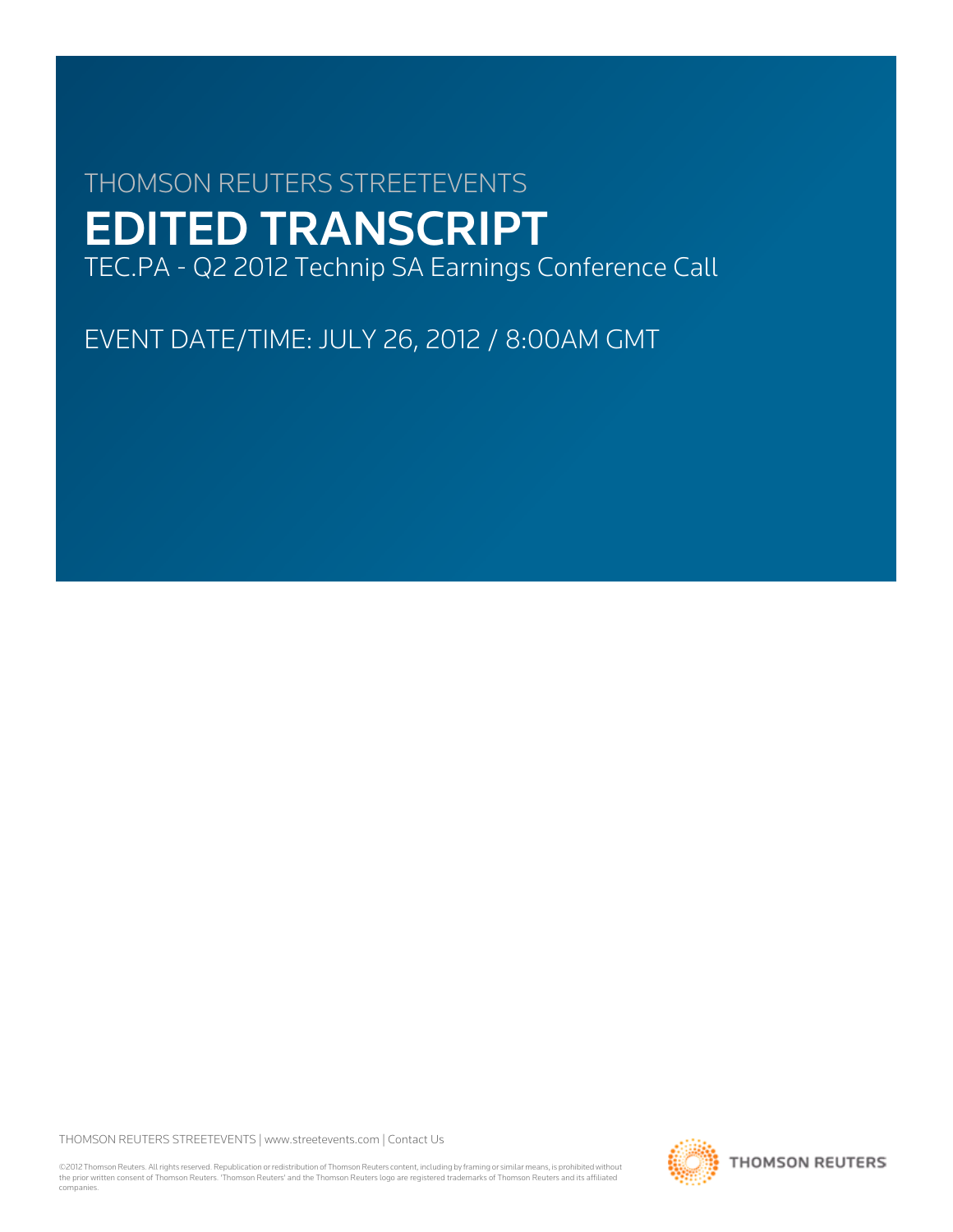# THOMSON REUTERS STREETEVENTS EDITED TRANSCRIPT TEC.PA - Q2 2012 Technip SA Earnings Conference Call

EVENT DATE/TIME: JULY 26, 2012 / 8:00AM GMT

THOMSON REUTERS STREETEVENTS | [www.streetevents.com](http://www.streetevents.com) | [Contact Us](http://www010.streetevents.com/contact.asp)

©2012 Thomson Reuters. All rights reserved. Republication or redistribution of Thomson Reuters content, including by framing or similar means, is prohibited without the prior written consent of Thomson Reuters. 'Thomson Reuters' and the Thomson Reuters logo are registered trademarks of Thomson Reuters and its affiliated companies.

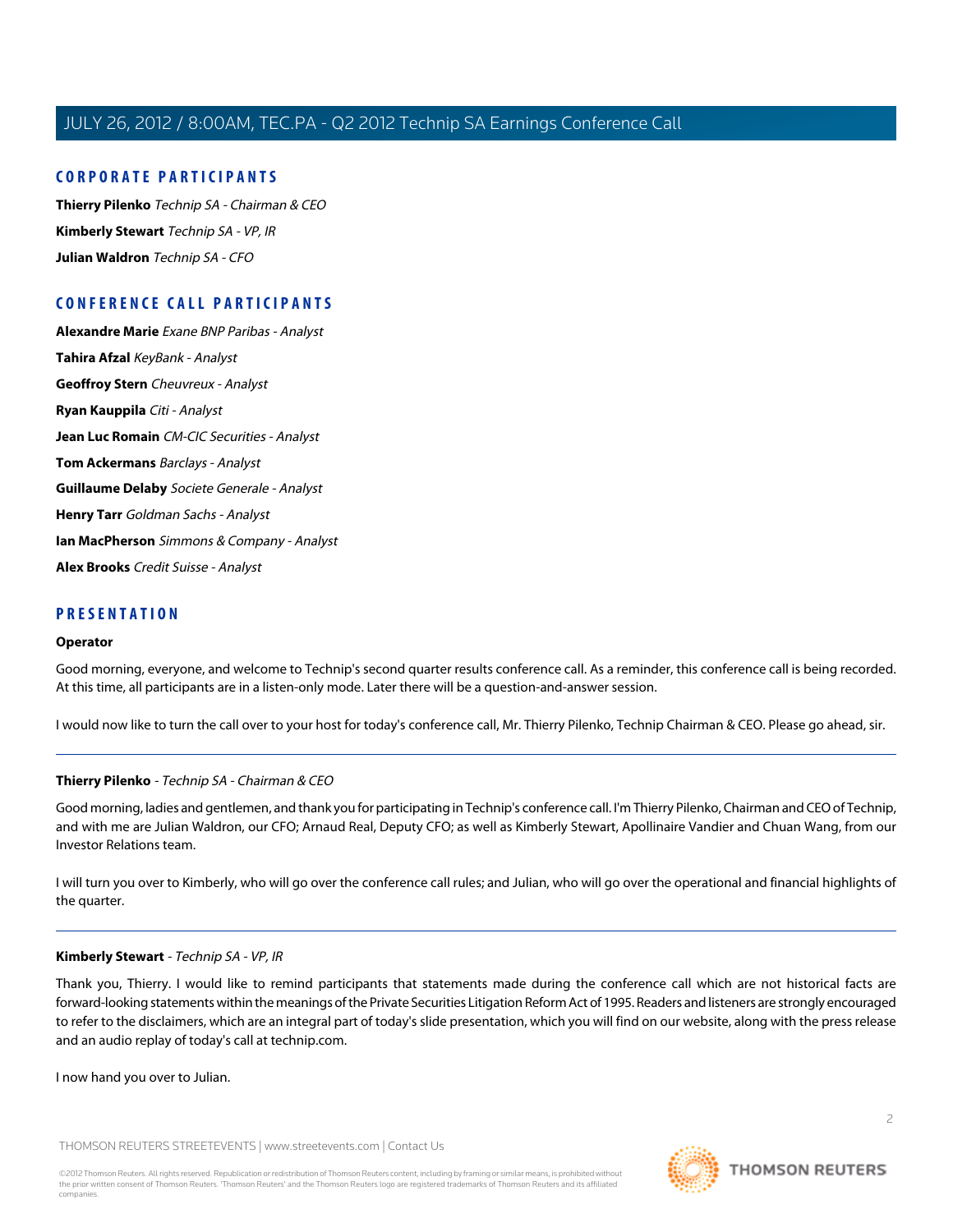## **CORPORATE PARTICIPANTS**

**[Thierry Pilenko](#page-1-0)** Technip SA - Chairman & CEO **[Kimberly Stewart](#page-1-1)** Technip SA - VP, IR **[Julian Waldron](#page-2-0)** Technip SA - CFO

# **CONFERENCE CALL PARTICIPANTS**

**[Alexandre Marie](#page-5-0)** Exane BNP Paribas - Analyst **[Tahira Afzal](#page-7-0)** KeyBank - Analyst **[Geoffroy Stern](#page-8-0)** Cheuvreux - Analyst **[Ryan Kauppila](#page-9-0)** Citi - Analyst **[Jean Luc Romain](#page-10-0)** CM-CIC Securities - Analyst **[Tom Ackermans](#page-11-0)** Barclays - Analyst **[Guillaume Delaby](#page-12-0)** Societe Generale - Analyst **[Henry Tarr](#page-13-0)** Goldman Sachs - Analyst **[Ian MacPherson](#page-14-0)** Simmons & Company - Analyst **[Alex Brooks](#page-15-0)** Credit Suisse - Analyst

## **PRESENTATION**

#### **Operator**

Good morning, everyone, and welcome to Technip's second quarter results conference call. As a reminder, this conference call is being recorded. At this time, all participants are in a listen-only mode. Later there will be a question-and-answer session.

<span id="page-1-0"></span>I would now like to turn the call over to your host for today's conference call, Mr. Thierry Pilenko, Technip Chairman & CEO. Please go ahead, sir.

#### **Thierry Pilenko** - Technip SA - Chairman & CEO

Good morning, ladies and gentlemen, and thank you for participating in Technip's conference call. I'm Thierry Pilenko, Chairman and CEO of Technip, and with me are Julian Waldron, our CFO; Arnaud Real, Deputy CFO; as well as Kimberly Stewart, Apollinaire Vandier and Chuan Wang, from our Investor Relations team.

<span id="page-1-1"></span>I will turn you over to Kimberly, who will go over the conference call rules; and Julian, who will go over the operational and financial highlights of the quarter.

#### **Kimberly Stewart** - Technip SA - VP, IR

Thank you, Thierry. I would like to remind participants that statements made during the conference call which are not historical facts are forward-looking statements within the meanings of the Private Securities Litigation Reform Act of 1995. Readers and listeners are strongly encouraged to refer to the disclaimers, which are an integral part of today's slide presentation, which you will find on our website, along with the press release and an audio replay of today's call at technip.com.

I now hand you over to Julian.

THOMSON REUTERS STREETEVENTS | [www.streetevents.com](http://www.streetevents.com) | [Contact Us](http://www010.streetevents.com/contact.asp)

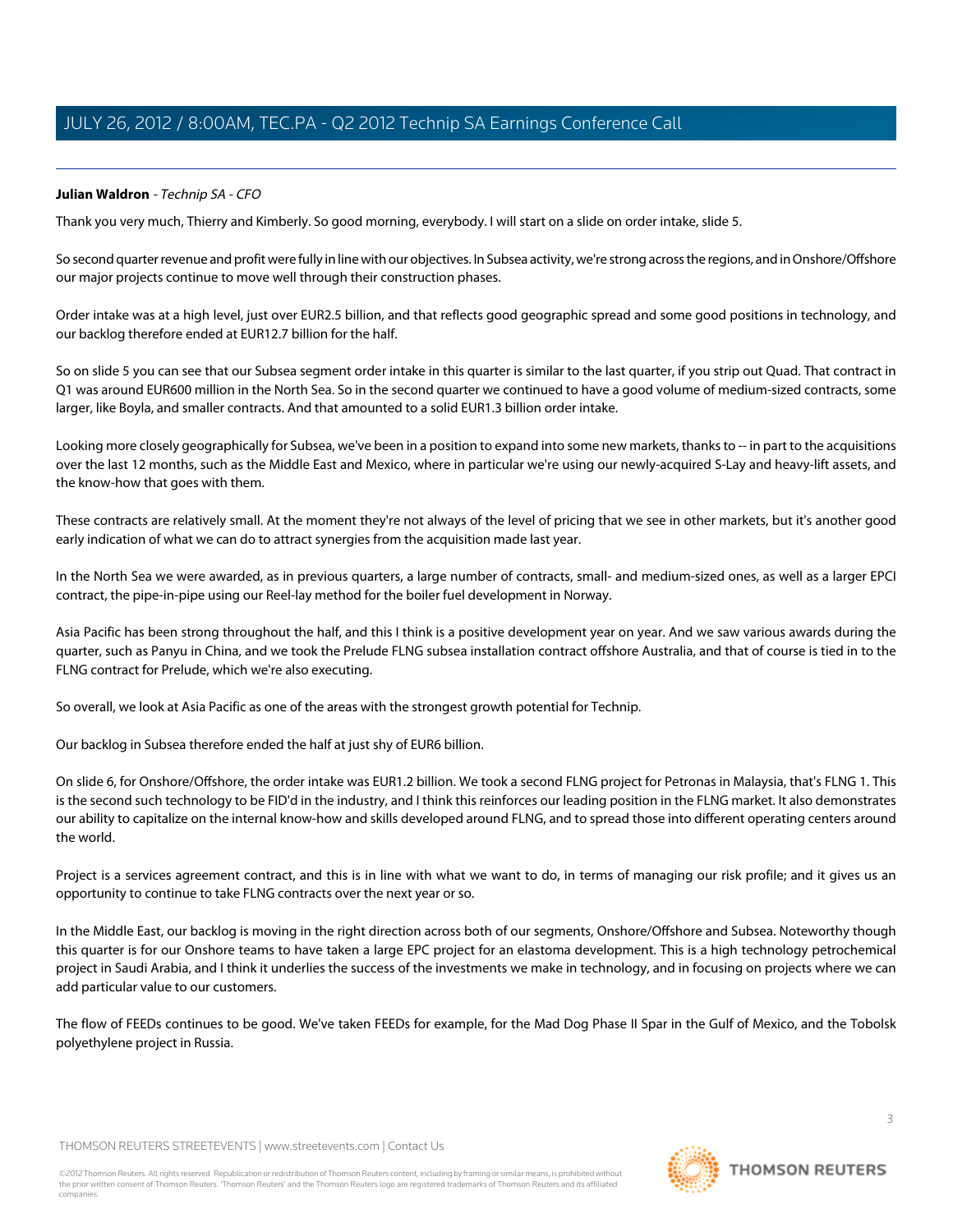# <span id="page-2-0"></span>**Julian Waldron** - Technip SA - CFO

Thank you very much, Thierry and Kimberly. So good morning, everybody. I will start on a slide on order intake, slide 5.

So second quarter revenue and profit were fully in line with our objectives. In Subsea activity, we're strong across the regions, and in Onshore/Offshore our major projects continue to move well through their construction phases.

Order intake was at a high level, just over EUR2.5 billion, and that reflects good geographic spread and some good positions in technology, and our backlog therefore ended at EUR12.7 billion for the half.

So on slide 5 you can see that our Subsea segment order intake in this quarter is similar to the last quarter, if you strip out Quad. That contract in Q1 was around EUR600 million in the North Sea. So in the second quarter we continued to have a good volume of medium-sized contracts, some larger, like Boyla, and smaller contracts. And that amounted to a solid EUR1.3 billion order intake.

Looking more closely geographically for Subsea, we've been in a position to expand into some new markets, thanks to -- in part to the acquisitions over the last 12 months, such as the Middle East and Mexico, where in particular we're using our newly-acquired S-Lay and heavy-lift assets, and the know-how that goes with them.

These contracts are relatively small. At the moment they're not always of the level of pricing that we see in other markets, but it's another good early indication of what we can do to attract synergies from the acquisition made last year.

In the North Sea we were awarded, as in previous quarters, a large number of contracts, small- and medium-sized ones, as well as a larger EPCI contract, the pipe-in-pipe using our Reel-lay method for the boiler fuel development in Norway.

Asia Pacific has been strong throughout the half, and this I think is a positive development year on year. And we saw various awards during the quarter, such as Panyu in China, and we took the Prelude FLNG subsea installation contract offshore Australia, and that of course is tied in to the FLNG contract for Prelude, which we're also executing.

So overall, we look at Asia Pacific as one of the areas with the strongest growth potential for Technip.

Our backlog in Subsea therefore ended the half at just shy of EUR6 billion.

On slide 6, for Onshore/Offshore, the order intake was EUR1.2 billion. We took a second FLNG project for Petronas in Malaysia, that's FLNG 1. This is the second such technology to be FID'd in the industry, and I think this reinforces our leading position in the FLNG market. It also demonstrates our ability to capitalize on the internal know-how and skills developed around FLNG, and to spread those into different operating centers around the world.

Project is a services agreement contract, and this is in line with what we want to do, in terms of managing our risk profile; and it gives us an opportunity to continue to take FLNG contracts over the next year or so.

In the Middle East, our backlog is moving in the right direction across both of our segments, Onshore/Offshore and Subsea. Noteworthy though this quarter is for our Onshore teams to have taken a large EPC project for an elastoma development. This is a high technology petrochemical project in Saudi Arabia, and I think it underlies the success of the investments we make in technology, and in focusing on projects where we can add particular value to our customers.

The flow of FEEDs continues to be good. We've taken FEEDs for example, for the Mad Dog Phase II Spar in the Gulf of Mexico, and the Tobolsk polyethylene project in Russia.

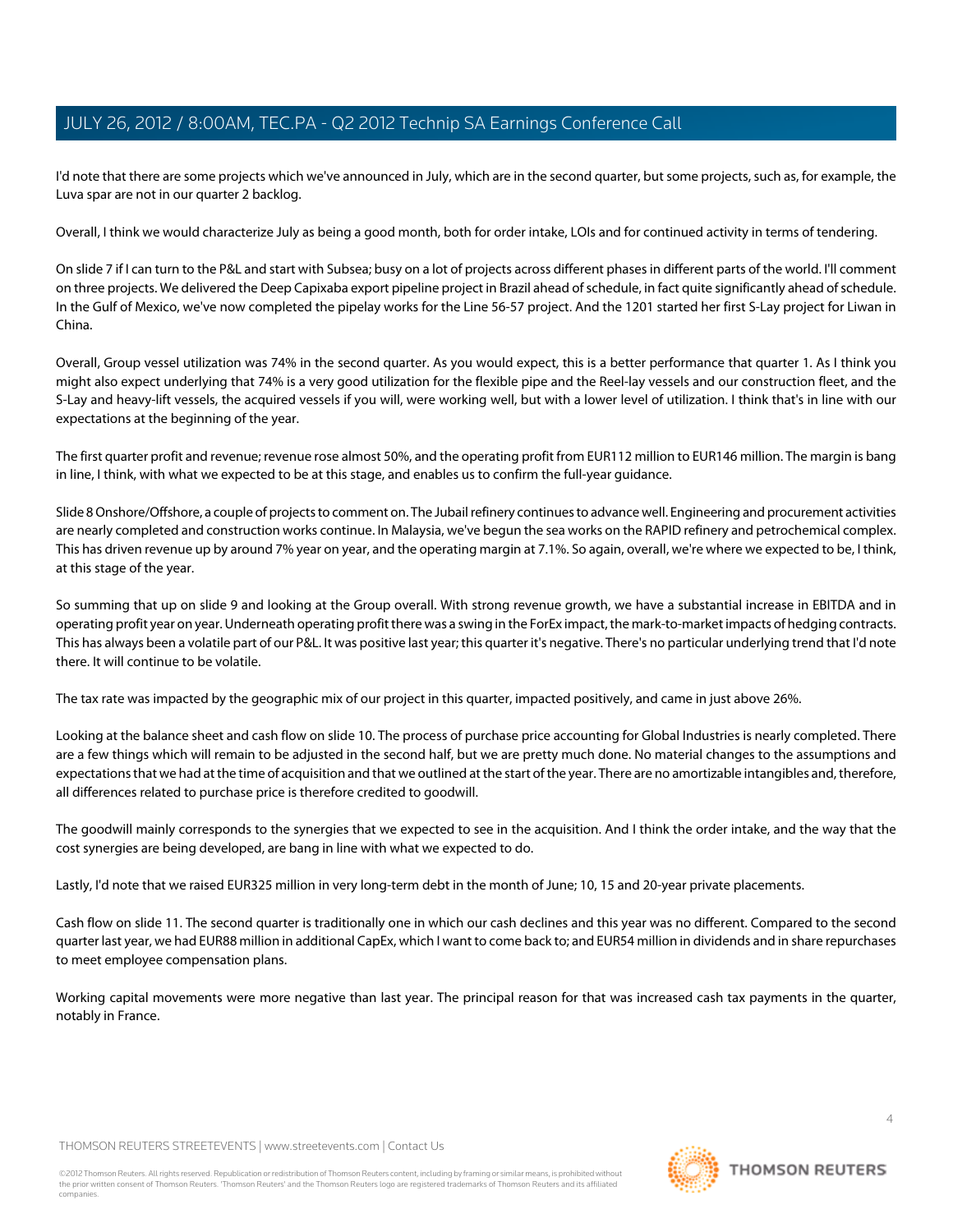I'd note that there are some projects which we've announced in July, which are in the second quarter, but some projects, such as, for example, the Luva spar are not in our quarter 2 backlog.

Overall, I think we would characterize July as being a good month, both for order intake, LOIs and for continued activity in terms of tendering.

On slide 7 if I can turn to the P&L and start with Subsea; busy on a lot of projects across different phases in different parts of the world. I'll comment on three projects. We delivered the Deep Capixaba export pipeline project in Brazil ahead of schedule, in fact quite significantly ahead of schedule. In the Gulf of Mexico, we've now completed the pipelay works for the Line 56-57 project. And the 1201 started her first S-Lay project for Liwan in China.

Overall, Group vessel utilization was 74% in the second quarter. As you would expect, this is a better performance that quarter 1. As I think you might also expect underlying that 74% is a very good utilization for the flexible pipe and the Reel-lay vessels and our construction fleet, and the S-Lay and heavy-lift vessels, the acquired vessels if you will, were working well, but with a lower level of utilization. I think that's in line with our expectations at the beginning of the year.

The first quarter profit and revenue; revenue rose almost 50%, and the operating profit from EUR112 million to EUR146 million. The margin is bang in line, I think, with what we expected to be at this stage, and enables us to confirm the full-year guidance.

Slide 8 Onshore/Offshore, a couple of projects to comment on. The Jubail refinery continues to advance well. Engineering and procurement activities are nearly completed and construction works continue. In Malaysia, we've begun the sea works on the RAPID refinery and petrochemical complex. This has driven revenue up by around 7% year on year, and the operating margin at 7.1%. So again, overall, we're where we expected to be, I think, at this stage of the year.

So summing that up on slide 9 and looking at the Group overall. With strong revenue growth, we have a substantial increase in EBITDA and in operating profit year on year. Underneath operating profit there was a swing in the ForEx impact, the mark-to-market impacts of hedging contracts. This has always been a volatile part of our P&L. It was positive last year; this quarter it's negative. There's no particular underlying trend that I'd note there. It will continue to be volatile.

The tax rate was impacted by the geographic mix of our project in this quarter, impacted positively, and came in just above 26%.

Looking at the balance sheet and cash flow on slide 10. The process of purchase price accounting for Global Industries is nearly completed. There are a few things which will remain to be adjusted in the second half, but we are pretty much done. No material changes to the assumptions and expectations that we had at the time of acquisition and that we outlined at the start of the year. There are no amortizable intangibles and, therefore, all differences related to purchase price is therefore credited to goodwill.

The goodwill mainly corresponds to the synergies that we expected to see in the acquisition. And I think the order intake, and the way that the cost synergies are being developed, are bang in line with what we expected to do.

Lastly, I'd note that we raised EUR325 million in very long-term debt in the month of June; 10, 15 and 20-year private placements.

Cash flow on slide 11. The second quarter is traditionally one in which our cash declines and this year was no different. Compared to the second quarter last year, we had EUR88 million in additional CapEx, which I want to come back to; and EUR54 million in dividends and in share repurchases to meet employee compensation plans.

Working capital movements were more negative than last year. The principal reason for that was increased cash tax payments in the quarter, notably in France.

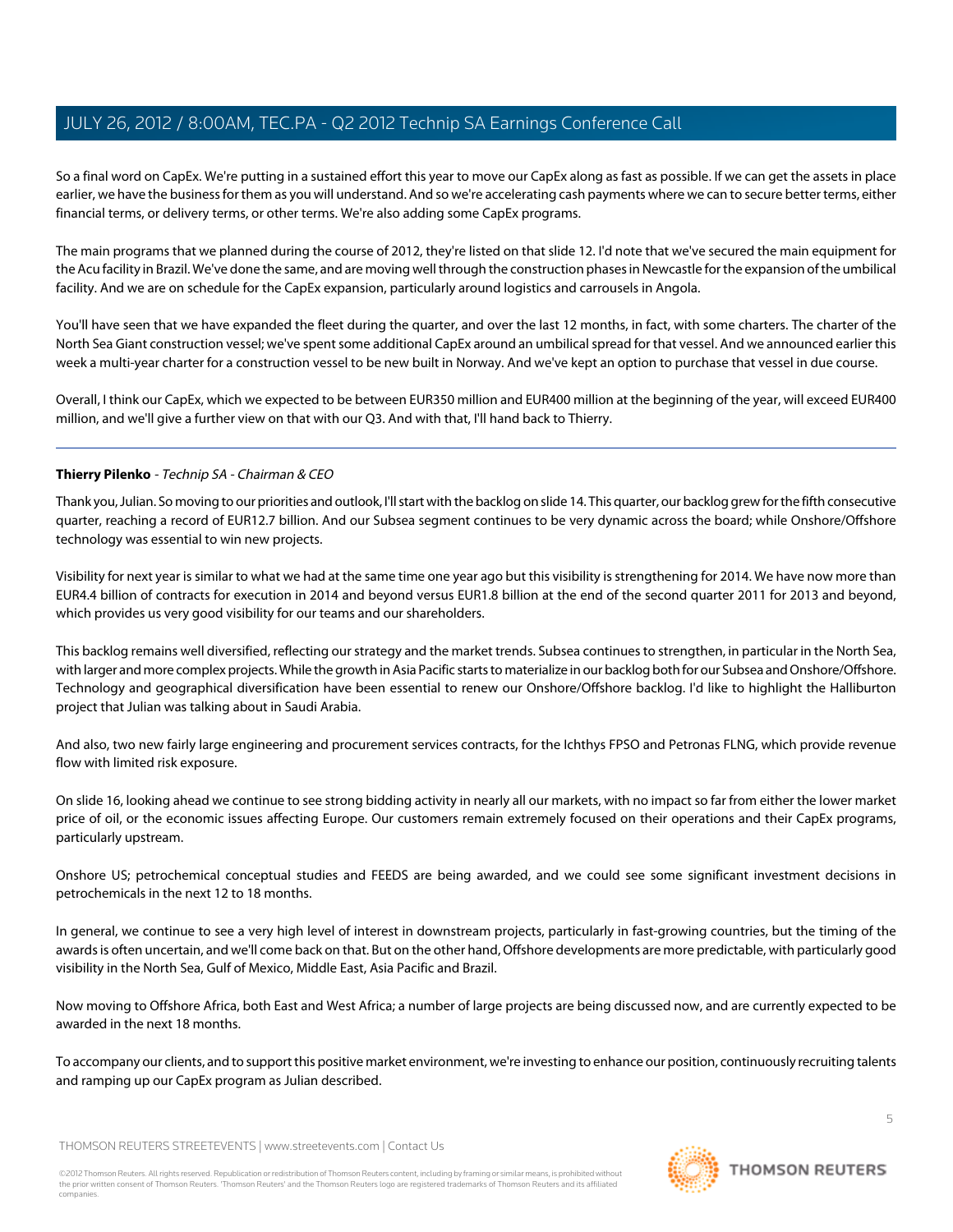So a final word on CapEx. We're putting in a sustained effort this year to move our CapEx along as fast as possible. If we can get the assets in place earlier, we have the business for them as you will understand. And so we're accelerating cash payments where we can to secure better terms, either financial terms, or delivery terms, or other terms. We're also adding some CapEx programs.

The main programs that we planned during the course of 2012, they're listed on that slide 12. I'd note that we've secured the main equipment for the Acu facility in Brazil. We've done the same, and are moving well through the construction phases in Newcastle for the expansion of the umbilical facility. And we are on schedule for the CapEx expansion, particularly around logistics and carrousels in Angola.

You'll have seen that we have expanded the fleet during the quarter, and over the last 12 months, in fact, with some charters. The charter of the North Sea Giant construction vessel; we've spent some additional CapEx around an umbilical spread for that vessel. And we announced earlier this week a multi-year charter for a construction vessel to be new built in Norway. And we've kept an option to purchase that vessel in due course.

Overall, I think our CapEx, which we expected to be between EUR350 million and EUR400 million at the beginning of the year, will exceed EUR400 million, and we'll give a further view on that with our Q3. And with that, I'll hand back to Thierry.

# **Thierry Pilenko** - Technip SA - Chairman & CEO

Thank you, Julian. So moving to our priorities and outlook, I'll start with the backlog on slide 14. This quarter, our backlog grew for the fifth consecutive quarter, reaching a record of EUR12.7 billion. And our Subsea segment continues to be very dynamic across the board; while Onshore/Offshore technology was essential to win new projects.

Visibility for next year is similar to what we had at the same time one year ago but this visibility is strengthening for 2014. We have now more than EUR4.4 billion of contracts for execution in 2014 and beyond versus EUR1.8 billion at the end of the second quarter 2011 for 2013 and beyond, which provides us very good visibility for our teams and our shareholders.

This backlog remains well diversified, reflecting our strategy and the market trends. Subsea continues to strengthen, in particular in the North Sea, with larger and more complex projects. While the growth in Asia Pacific starts to materialize in our backlog both for our Subsea and Onshore/Offshore. Technology and geographical diversification have been essential to renew our Onshore/Offshore backlog. I'd like to highlight the Halliburton project that Julian was talking about in Saudi Arabia.

And also, two new fairly large engineering and procurement services contracts, for the Ichthys FPSO and Petronas FLNG, which provide revenue flow with limited risk exposure.

On slide 16, looking ahead we continue to see strong bidding activity in nearly all our markets, with no impact so far from either the lower market price of oil, or the economic issues affecting Europe. Our customers remain extremely focused on their operations and their CapEx programs, particularly upstream.

Onshore US; petrochemical conceptual studies and FEEDS are being awarded, and we could see some significant investment decisions in petrochemicals in the next 12 to 18 months.

In general, we continue to see a very high level of interest in downstream projects, particularly in fast-growing countries, but the timing of the awards is often uncertain, and we'll come back on that. But on the other hand, Offshore developments are more predictable, with particularly good visibility in the North Sea, Gulf of Mexico, Middle East, Asia Pacific and Brazil.

Now moving to Offshore Africa, both East and West Africa; a number of large projects are being discussed now, and are currently expected to be awarded in the next 18 months.

To accompany our clients, and to support this positive market environment, we're investing to enhance our position, continuously recruiting talents and ramping up our CapEx program as Julian described.

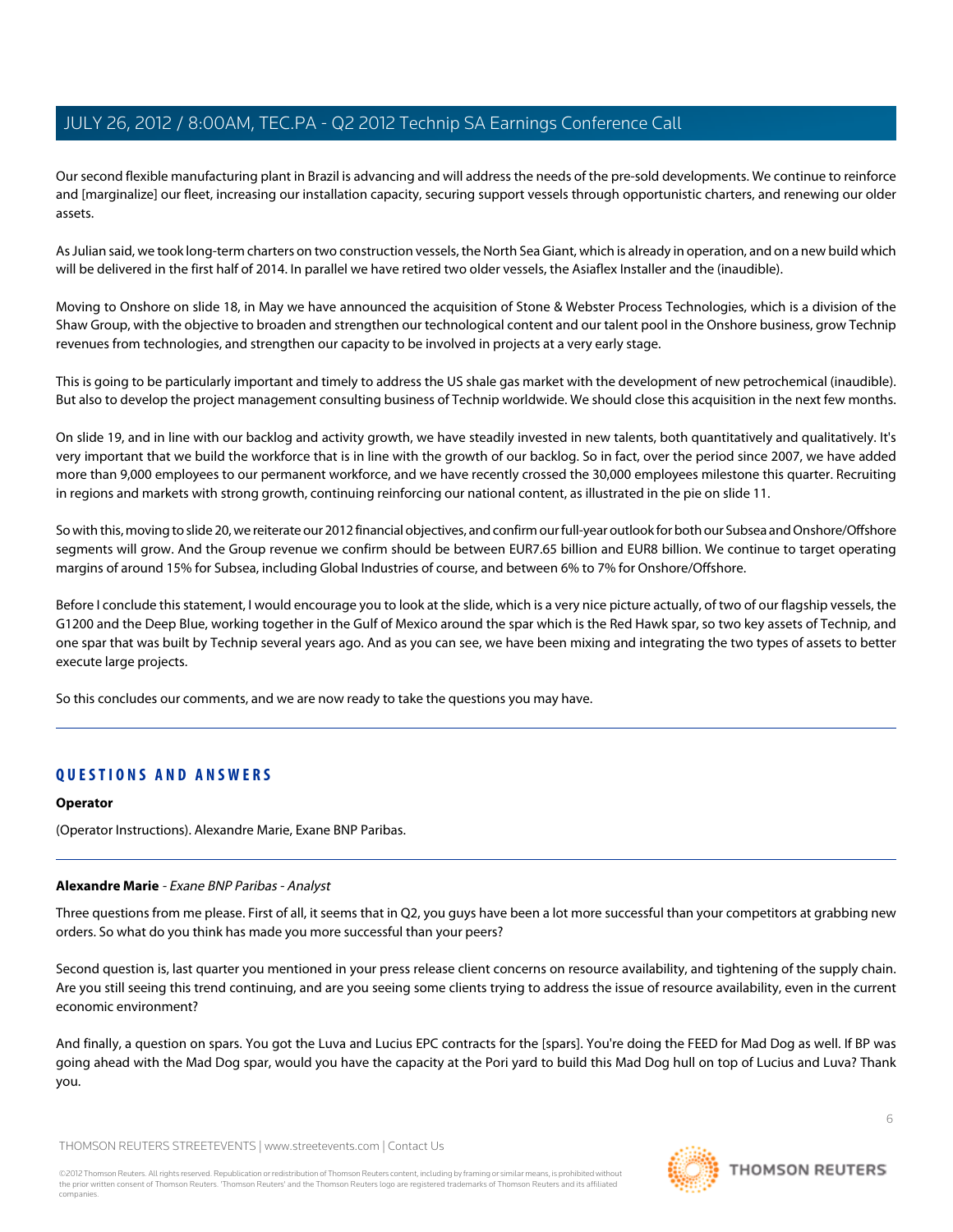Our second flexible manufacturing plant in Brazil is advancing and will address the needs of the pre-sold developments. We continue to reinforce and [marginalize] our fleet, increasing our installation capacity, securing support vessels through opportunistic charters, and renewing our older assets.

As Julian said, we took long-term charters on two construction vessels, the North Sea Giant, which is already in operation, and on a new build which will be delivered in the first half of 2014. In parallel we have retired two older vessels, the Asiaflex Installer and the (inaudible).

Moving to Onshore on slide 18, in May we have announced the acquisition of Stone & Webster Process Technologies, which is a division of the Shaw Group, with the objective to broaden and strengthen our technological content and our talent pool in the Onshore business, grow Technip revenues from technologies, and strengthen our capacity to be involved in projects at a very early stage.

This is going to be particularly important and timely to address the US shale gas market with the development of new petrochemical (inaudible). But also to develop the project management consulting business of Technip worldwide. We should close this acquisition in the next few months.

On slide 19, and in line with our backlog and activity growth, we have steadily invested in new talents, both quantitatively and qualitatively. It's very important that we build the workforce that is in line with the growth of our backlog. So in fact, over the period since 2007, we have added more than 9,000 employees to our permanent workforce, and we have recently crossed the 30,000 employees milestone this quarter. Recruiting in regions and markets with strong growth, continuing reinforcing our national content, as illustrated in the pie on slide 11.

So with this, moving to slide 20, we reiterate our 2012 financial objectives, and confirm our full-year outlook for both our Subsea and Onshore/Offshore segments will grow. And the Group revenue we confirm should be between EUR7.65 billion and EUR8 billion. We continue to target operating margins of around 15% for Subsea, including Global Industries of course, and between 6% to 7% for Onshore/Offshore.

Before I conclude this statement, I would encourage you to look at the slide, which is a very nice picture actually, of two of our flagship vessels, the G1200 and the Deep Blue, working together in the Gulf of Mexico around the spar which is the Red Hawk spar, so two key assets of Technip, and one spar that was built by Technip several years ago. And as you can see, we have been mixing and integrating the two types of assets to better execute large projects.

So this concludes our comments, and we are now ready to take the questions you may have.

# **QUESTIONS AND ANSWERS**

#### <span id="page-5-0"></span>**Operator**

(Operator Instructions). Alexandre Marie, Exane BNP Paribas.

#### **Alexandre Marie** - Exane BNP Paribas - Analyst

Three questions from me please. First of all, it seems that in Q2, you guys have been a lot more successful than your competitors at grabbing new orders. So what do you think has made you more successful than your peers?

Second question is, last quarter you mentioned in your press release client concerns on resource availability, and tightening of the supply chain. Are you still seeing this trend continuing, and are you seeing some clients trying to address the issue of resource availability, even in the current economic environment?

And finally, a question on spars. You got the Luva and Lucius EPC contracts for the [spars]. You're doing the FEED for Mad Dog as well. If BP was going ahead with the Mad Dog spar, would you have the capacity at the Pori yard to build this Mad Dog hull on top of Lucius and Luva? Thank you.

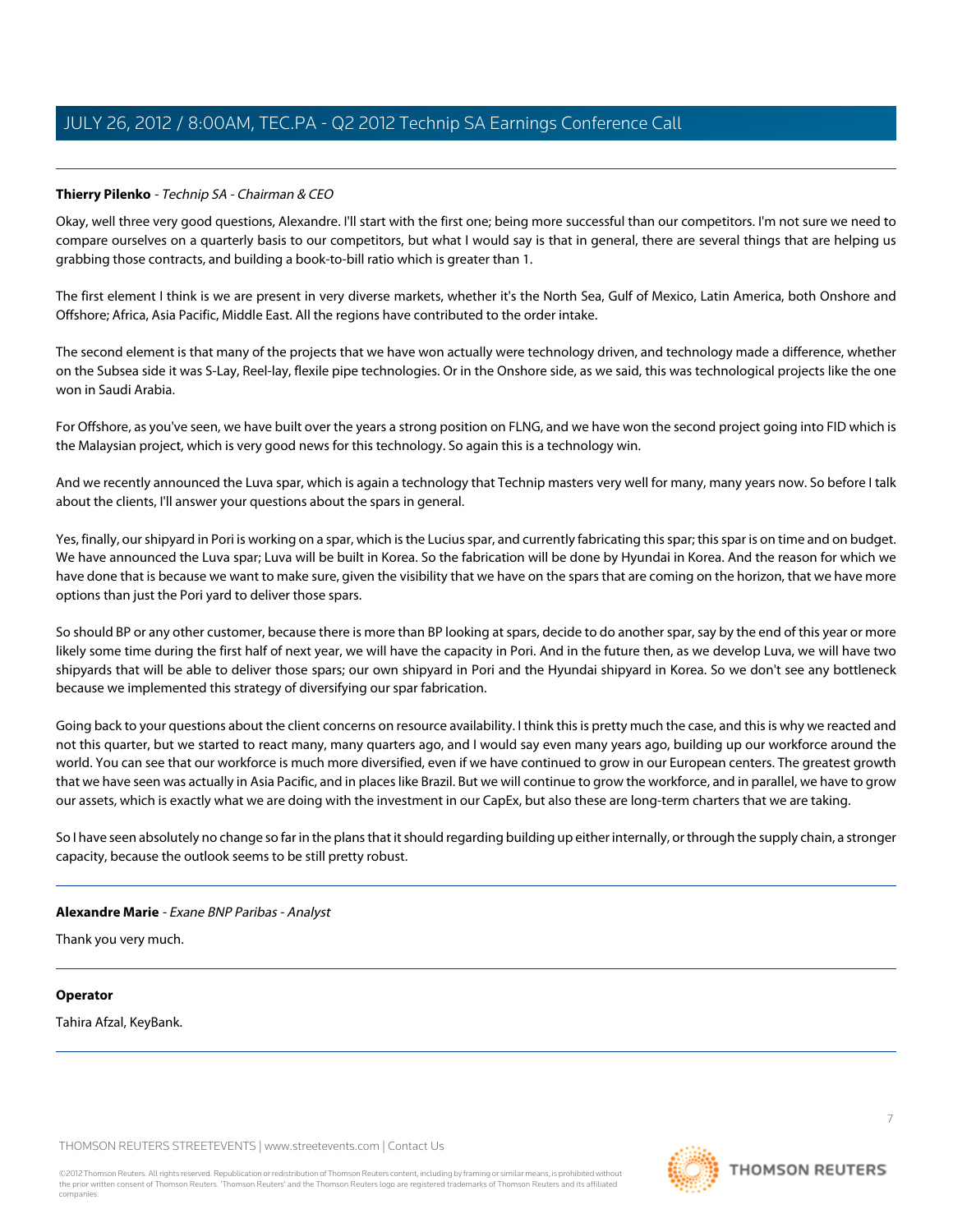# **Thierry Pilenko** - Technip SA - Chairman & CEO

Okay, well three very good questions, Alexandre. I'll start with the first one; being more successful than our competitors. I'm not sure we need to compare ourselves on a quarterly basis to our competitors, but what I would say is that in general, there are several things that are helping us grabbing those contracts, and building a book-to-bill ratio which is greater than 1.

The first element I think is we are present in very diverse markets, whether it's the North Sea, Gulf of Mexico, Latin America, both Onshore and Offshore; Africa, Asia Pacific, Middle East. All the regions have contributed to the order intake.

The second element is that many of the projects that we have won actually were technology driven, and technology made a difference, whether on the Subsea side it was S-Lay, Reel-lay, flexile pipe technologies. Or in the Onshore side, as we said, this was technological projects like the one won in Saudi Arabia.

For Offshore, as you've seen, we have built over the years a strong position on FLNG, and we have won the second project going into FID which is the Malaysian project, which is very good news for this technology. So again this is a technology win.

And we recently announced the Luva spar, which is again a technology that Technip masters very well for many, many years now. So before I talk about the clients, I'll answer your questions about the spars in general.

Yes, finally, our shipyard in Pori is working on a spar, which is the Lucius spar, and currently fabricating this spar; this spar is on time and on budget. We have announced the Luva spar; Luva will be built in Korea. So the fabrication will be done by Hyundai in Korea. And the reason for which we have done that is because we want to make sure, given the visibility that we have on the spars that are coming on the horizon, that we have more options than just the Pori yard to deliver those spars.

So should BP or any other customer, because there is more than BP looking at spars, decide to do another spar, say by the end of this year or more likely some time during the first half of next year, we will have the capacity in Pori. And in the future then, as we develop Luva, we will have two shipyards that will be able to deliver those spars; our own shipyard in Pori and the Hyundai shipyard in Korea. So we don't see any bottleneck because we implemented this strategy of diversifying our spar fabrication.

Going back to your questions about the client concerns on resource availability. I think this is pretty much the case, and this is why we reacted and not this quarter, but we started to react many, many quarters ago, and I would say even many years ago, building up our workforce around the world. You can see that our workforce is much more diversified, even if we have continued to grow in our European centers. The greatest growth that we have seen was actually in Asia Pacific, and in places like Brazil. But we will continue to grow the workforce, and in parallel, we have to grow our assets, which is exactly what we are doing with the investment in our CapEx, but also these are long-term charters that we are taking.

So I have seen absolutely no change so far in the plans that it should regarding building up either internally, or through the supply chain, a stronger capacity, because the outlook seems to be still pretty robust.

#### **Alexandre Marie** - Exane BNP Paribas - Analyst

Thank you very much.

#### **Operator**

Tahira Afzal, KeyBank.

THOMSON REUTERS STREETEVENTS | [www.streetevents.com](http://www.streetevents.com) | [Contact Us](http://www010.streetevents.com/contact.asp)

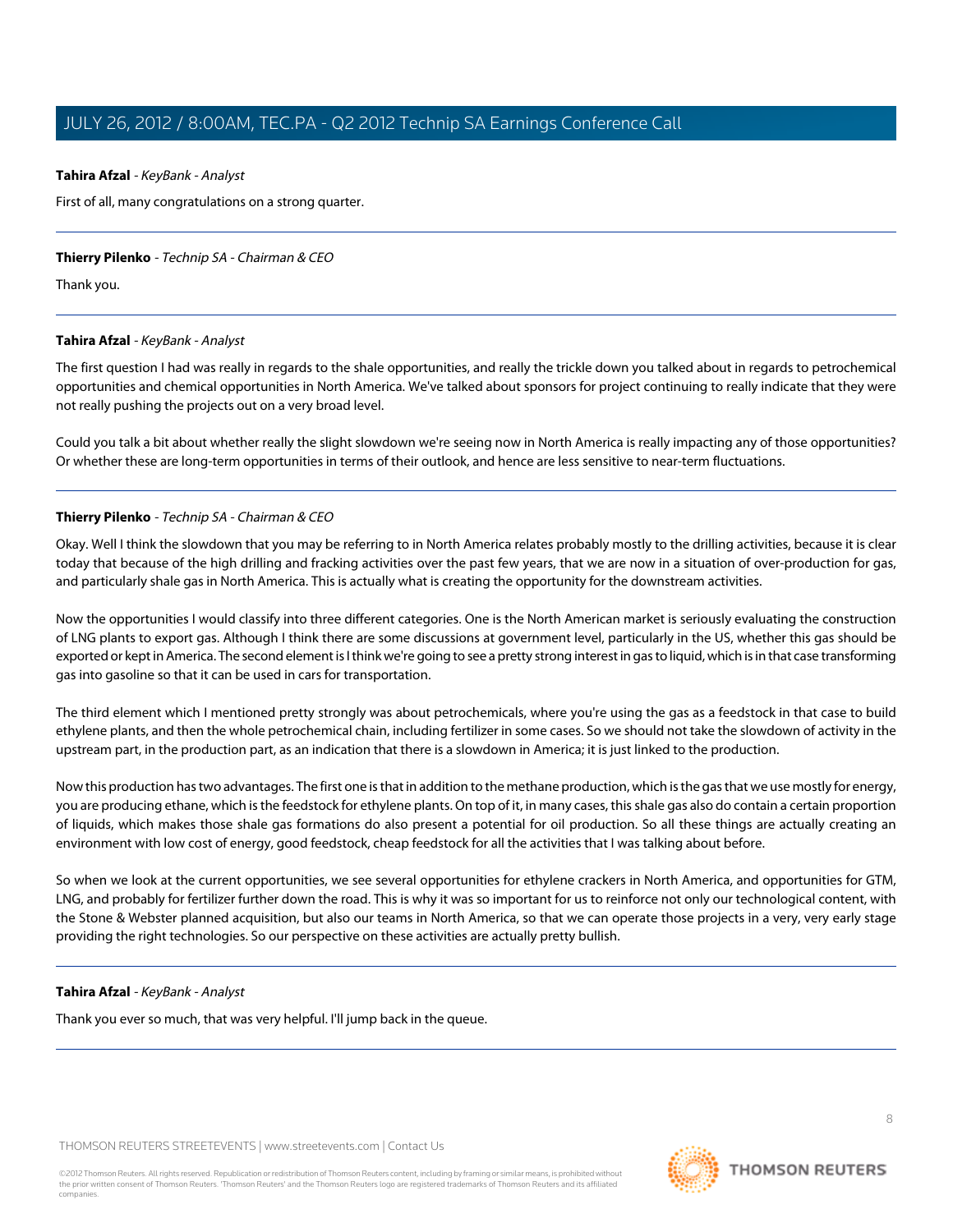## <span id="page-7-0"></span>**Tahira Afzal** - KeyBank - Analyst

First of all, many congratulations on a strong quarter.

#### **Thierry Pilenko** - Technip SA - Chairman & CEO

Thank you.

### **Tahira Afzal** - KeyBank - Analyst

The first question I had was really in regards to the shale opportunities, and really the trickle down you talked about in regards to petrochemical opportunities and chemical opportunities in North America. We've talked about sponsors for project continuing to really indicate that they were not really pushing the projects out on a very broad level.

Could you talk a bit about whether really the slight slowdown we're seeing now in North America is really impacting any of those opportunities? Or whether these are long-term opportunities in terms of their outlook, and hence are less sensitive to near-term fluctuations.

### **Thierry Pilenko** - Technip SA - Chairman & CEO

Okay. Well I think the slowdown that you may be referring to in North America relates probably mostly to the drilling activities, because it is clear today that because of the high drilling and fracking activities over the past few years, that we are now in a situation of over-production for gas, and particularly shale gas in North America. This is actually what is creating the opportunity for the downstream activities.

Now the opportunities I would classify into three different categories. One is the North American market is seriously evaluating the construction of LNG plants to export gas. Although I think there are some discussions at government level, particularly in the US, whether this gas should be exported or kept in America. The second element is I think we're going to see a pretty strong interest in gas to liquid, which is in that case transforming gas into gasoline so that it can be used in cars for transportation.

The third element which I mentioned pretty strongly was about petrochemicals, where you're using the gas as a feedstock in that case to build ethylene plants, and then the whole petrochemical chain, including fertilizer in some cases. So we should not take the slowdown of activity in the upstream part, in the production part, as an indication that there is a slowdown in America; it is just linked to the production.

Now this production has two advantages. The first one is that in addition to the methane production, which is the gas that we use mostly for energy, you are producing ethane, which is the feedstock for ethylene plants. On top of it, in many cases, this shale gas also do contain a certain proportion of liquids, which makes those shale gas formations do also present a potential for oil production. So all these things are actually creating an environment with low cost of energy, good feedstock, cheap feedstock for all the activities that I was talking about before.

So when we look at the current opportunities, we see several opportunities for ethylene crackers in North America, and opportunities for GTM, LNG, and probably for fertilizer further down the road. This is why it was so important for us to reinforce not only our technological content, with the Stone & Webster planned acquisition, but also our teams in North America, so that we can operate those projects in a very, very early stage providing the right technologies. So our perspective on these activities are actually pretty bullish.

#### **Tahira Afzal** - KeyBank - Analyst

Thank you ever so much, that was very helpful. I'll jump back in the queue.

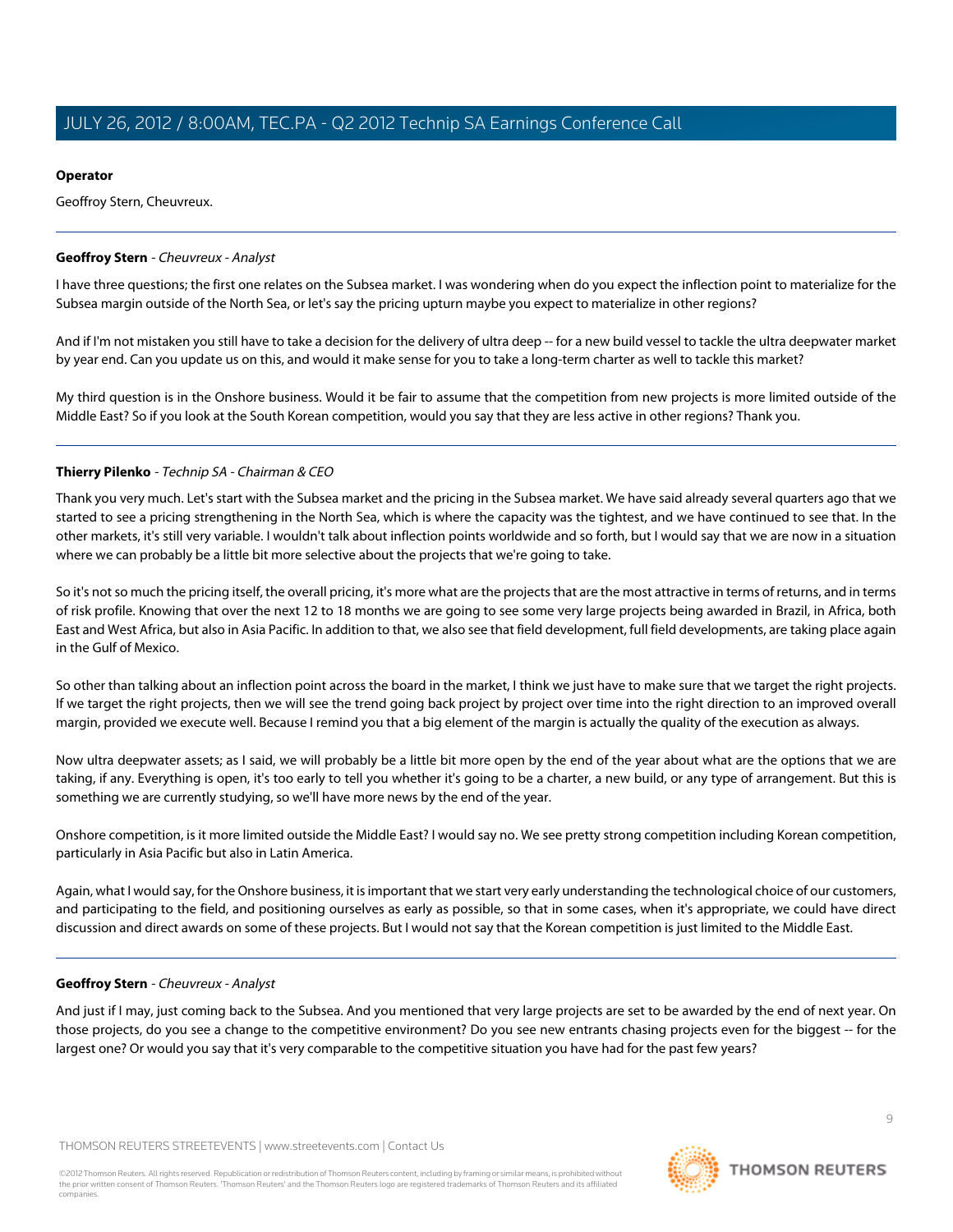# **Operator**

Geoffroy Stern, Cheuvreux.

# <span id="page-8-0"></span>**Geoffroy Stern** - Cheuvreux - Analyst

I have three questions; the first one relates on the Subsea market. I was wondering when do you expect the inflection point to materialize for the Subsea margin outside of the North Sea, or let's say the pricing upturn maybe you expect to materialize in other regions?

And if I'm not mistaken you still have to take a decision for the delivery of ultra deep -- for a new build vessel to tackle the ultra deepwater market by year end. Can you update us on this, and would it make sense for you to take a long-term charter as well to tackle this market?

My third question is in the Onshore business. Would it be fair to assume that the competition from new projects is more limited outside of the Middle East? So if you look at the South Korean competition, would you say that they are less active in other regions? Thank you.

# **Thierry Pilenko** - Technip SA - Chairman & CEO

Thank you very much. Let's start with the Subsea market and the pricing in the Subsea market. We have said already several quarters ago that we started to see a pricing strengthening in the North Sea, which is where the capacity was the tightest, and we have continued to see that. In the other markets, it's still very variable. I wouldn't talk about inflection points worldwide and so forth, but I would say that we are now in a situation where we can probably be a little bit more selective about the projects that we're going to take.

So it's not so much the pricing itself, the overall pricing, it's more what are the projects that are the most attractive in terms of returns, and in terms of risk profile. Knowing that over the next 12 to 18 months we are going to see some very large projects being awarded in Brazil, in Africa, both East and West Africa, but also in Asia Pacific. In addition to that, we also see that field development, full field developments, are taking place again in the Gulf of Mexico.

So other than talking about an inflection point across the board in the market, I think we just have to make sure that we target the right projects. If we target the right projects, then we will see the trend going back project by project over time into the right direction to an improved overall margin, provided we execute well. Because I remind you that a big element of the margin is actually the quality of the execution as always.

Now ultra deepwater assets; as I said, we will probably be a little bit more open by the end of the year about what are the options that we are taking, if any. Everything is open, it's too early to tell you whether it's going to be a charter, a new build, or any type of arrangement. But this is something we are currently studying, so we'll have more news by the end of the year.

Onshore competition, is it more limited outside the Middle East? I would say no. We see pretty strong competition including Korean competition, particularly in Asia Pacific but also in Latin America.

Again, what I would say, for the Onshore business, it is important that we start very early understanding the technological choice of our customers, and participating to the field, and positioning ourselves as early as possible, so that in some cases, when it's appropriate, we could have direct discussion and direct awards on some of these projects. But I would not say that the Korean competition is just limited to the Middle East.

# **Geoffroy Stern** - Cheuvreux - Analyst

And just if I may, just coming back to the Subsea. And you mentioned that very large projects are set to be awarded by the end of next year. On those projects, do you see a change to the competitive environment? Do you see new entrants chasing projects even for the biggest -- for the largest one? Or would you say that it's very comparable to the competitive situation you have had for the past few years?

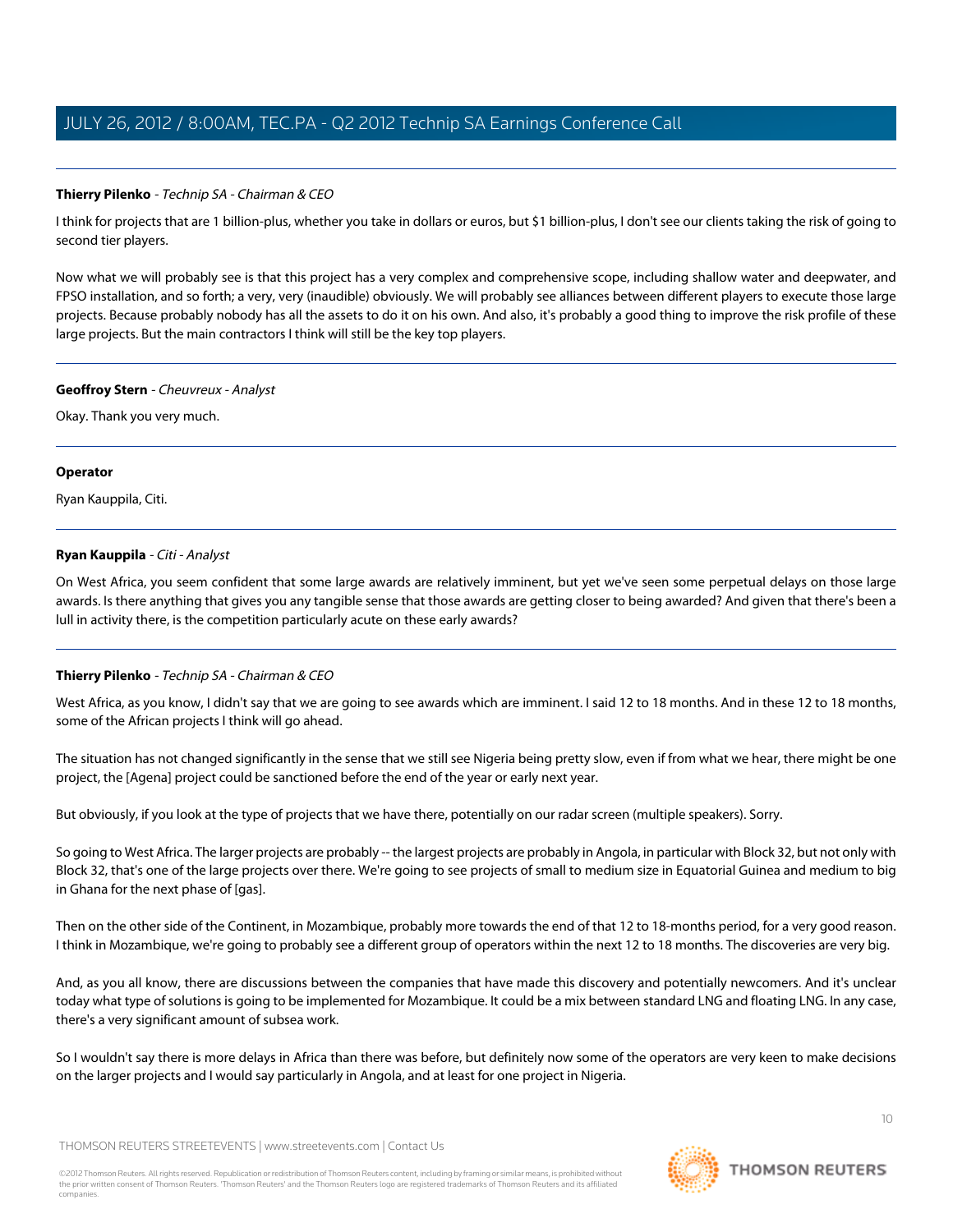# **Thierry Pilenko** - Technip SA - Chairman & CEO

I think for projects that are 1 billion-plus, whether you take in dollars or euros, but \$1 billion-plus, I don't see our clients taking the risk of going to second tier players.

Now what we will probably see is that this project has a very complex and comprehensive scope, including shallow water and deepwater, and FPSO installation, and so forth; a very, very (inaudible) obviously. We will probably see alliances between different players to execute those large projects. Because probably nobody has all the assets to do it on his own. And also, it's probably a good thing to improve the risk profile of these large projects. But the main contractors I think will still be the key top players.

#### **Geoffroy Stern** - Cheuvreux - Analyst

Okay. Thank you very much.

### **Operator**

<span id="page-9-0"></span>Ryan Kauppila, Citi.

# **Ryan Kauppila** - Citi - Analyst

On West Africa, you seem confident that some large awards are relatively imminent, but yet we've seen some perpetual delays on those large awards. Is there anything that gives you any tangible sense that those awards are getting closer to being awarded? And given that there's been a lull in activity there, is the competition particularly acute on these early awards?

# **Thierry Pilenko** - Technip SA - Chairman & CEO

West Africa, as you know, I didn't say that we are going to see awards which are imminent. I said 12 to 18 months. And in these 12 to 18 months, some of the African projects I think will go ahead.

The situation has not changed significantly in the sense that we still see Nigeria being pretty slow, even if from what we hear, there might be one project, the [Agena] project could be sanctioned before the end of the year or early next year.

But obviously, if you look at the type of projects that we have there, potentially on our radar screen (multiple speakers). Sorry.

So going to West Africa. The larger projects are probably -- the largest projects are probably in Angola, in particular with Block 32, but not only with Block 32, that's one of the large projects over there. We're going to see projects of small to medium size in Equatorial Guinea and medium to big in Ghana for the next phase of [gas].

Then on the other side of the Continent, in Mozambique, probably more towards the end of that 12 to 18-months period, for a very good reason. I think in Mozambique, we're going to probably see a different group of operators within the next 12 to 18 months. The discoveries are very big.

And, as you all know, there are discussions between the companies that have made this discovery and potentially newcomers. And it's unclear today what type of solutions is going to be implemented for Mozambique. It could be a mix between standard LNG and floating LNG. In any case, there's a very significant amount of subsea work.

So I wouldn't say there is more delays in Africa than there was before, but definitely now some of the operators are very keen to make decisions on the larger projects and I would say particularly in Angola, and at least for one project in Nigeria.

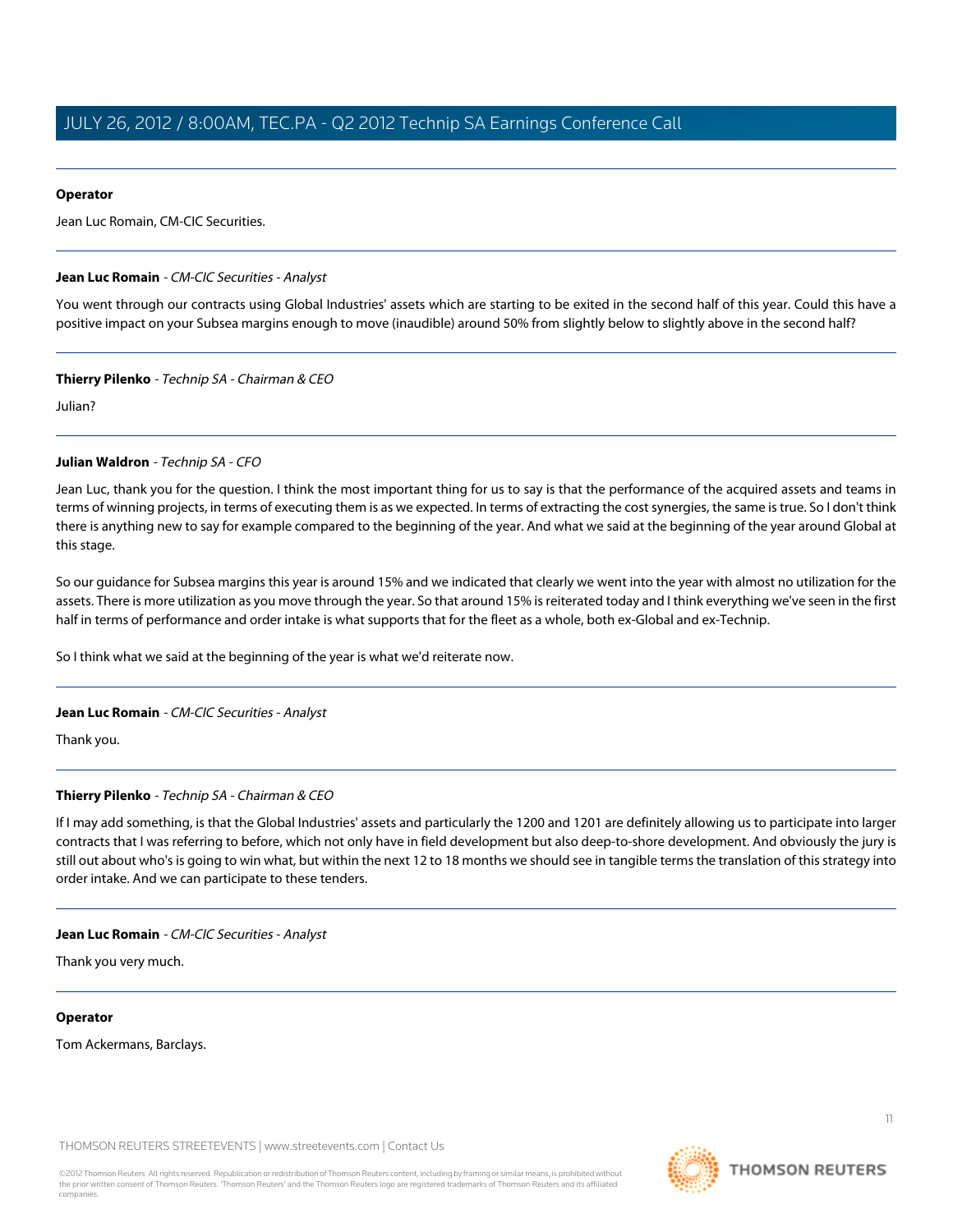## **Operator**

Jean Luc Romain, CM-CIC Securities.

### <span id="page-10-0"></span>**Jean Luc Romain** - CM-CIC Securities - Analyst

You went through our contracts using Global Industries' assets which are starting to be exited in the second half of this year. Could this have a positive impact on your Subsea margins enough to move (inaudible) around 50% from slightly below to slightly above in the second half?

### **Thierry Pilenko** - Technip SA - Chairman & CEO

Julian?

### **Julian Waldron** - Technip SA - CFO

Jean Luc, thank you for the question. I think the most important thing for us to say is that the performance of the acquired assets and teams in terms of winning projects, in terms of executing them is as we expected. In terms of extracting the cost synergies, the same is true. So I don't think there is anything new to say for example compared to the beginning of the year. And what we said at the beginning of the year around Global at this stage.

So our guidance for Subsea margins this year is around 15% and we indicated that clearly we went into the year with almost no utilization for the assets. There is more utilization as you move through the year. So that around 15% is reiterated today and I think everything we've seen in the first half in terms of performance and order intake is what supports that for the fleet as a whole, both ex-Global and ex-Technip.

So I think what we said at the beginning of the year is what we'd reiterate now.

#### **Jean Luc Romain** - CM-CIC Securities - Analyst

Thank you.

# **Thierry Pilenko** - Technip SA - Chairman & CEO

If I may add something, is that the Global Industries' assets and particularly the 1200 and 1201 are definitely allowing us to participate into larger contracts that I was referring to before, which not only have in field development but also deep-to-shore development. And obviously the jury is still out about who's is going to win what, but within the next 12 to 18 months we should see in tangible terms the translation of this strategy into order intake. And we can participate to these tenders.

#### **Jean Luc Romain** - CM-CIC Securities - Analyst

Thank you very much.

#### **Operator**

Tom Ackermans, Barclays.

THOMSON REUTERS STREETEVENTS | [www.streetevents.com](http://www.streetevents.com) | [Contact Us](http://www010.streetevents.com/contact.asp)

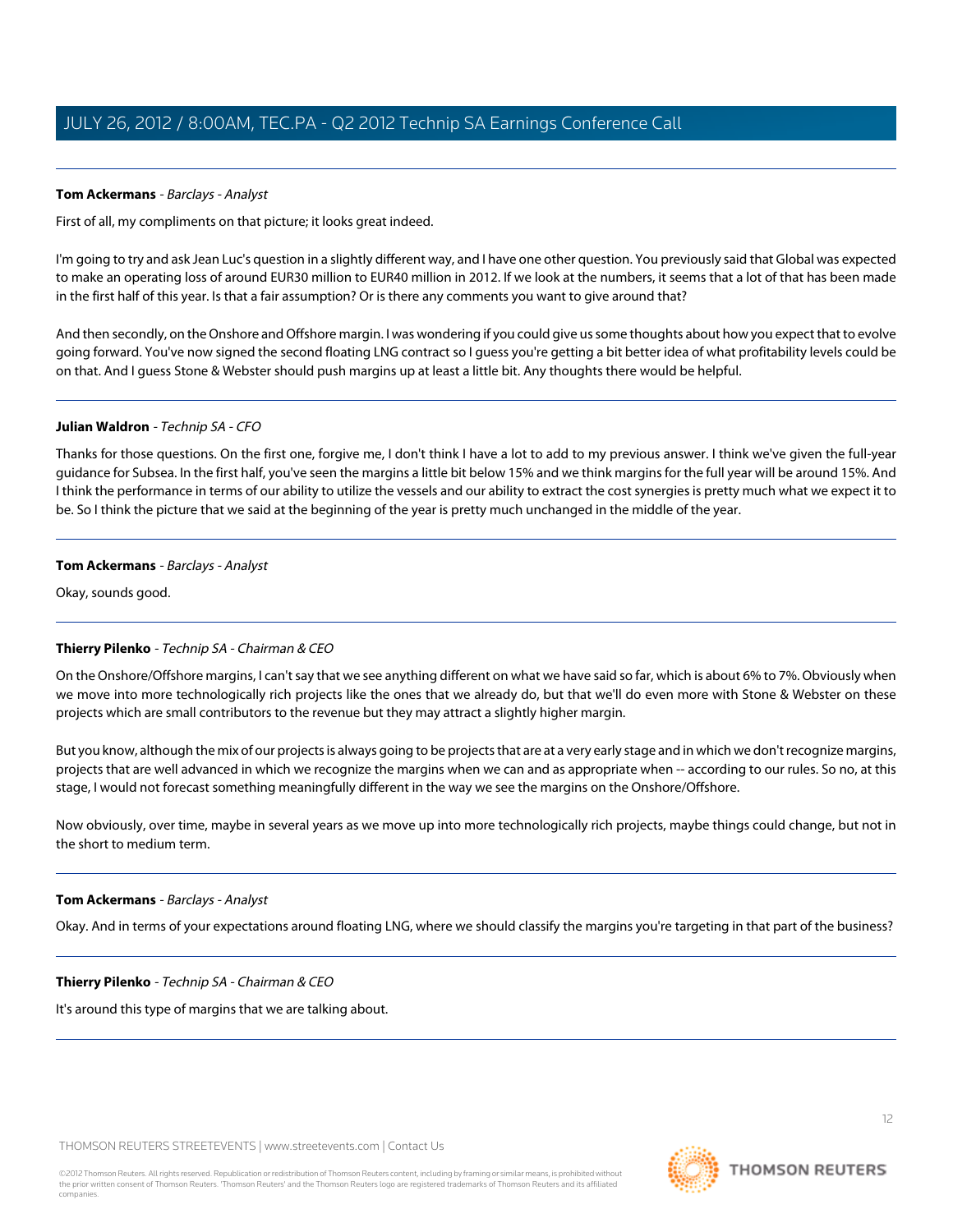# <span id="page-11-0"></span>**Tom Ackermans** - Barclays - Analyst

First of all, my compliments on that picture; it looks great indeed.

I'm going to try and ask Jean Luc's question in a slightly different way, and I have one other question. You previously said that Global was expected to make an operating loss of around EUR30 million to EUR40 million in 2012. If we look at the numbers, it seems that a lot of that has been made in the first half of this year. Is that a fair assumption? Or is there any comments you want to give around that?

And then secondly, on the Onshore and Offshore margin. I was wondering if you could give us some thoughts about how you expect that to evolve going forward. You've now signed the second floating LNG contract so I guess you're getting a bit better idea of what profitability levels could be on that. And I guess Stone & Webster should push margins up at least a little bit. Any thoughts there would be helpful.

#### **Julian Waldron** - Technip SA - CFO

Thanks for those questions. On the first one, forgive me, I don't think I have a lot to add to my previous answer. I think we've given the full-year guidance for Subsea. In the first half, you've seen the margins a little bit below 15% and we think margins for the full year will be around 15%. And I think the performance in terms of our ability to utilize the vessels and our ability to extract the cost synergies is pretty much what we expect it to be. So I think the picture that we said at the beginning of the year is pretty much unchanged in the middle of the year.

### **Tom Ackermans** - Barclays - Analyst

Okay, sounds good.

# **Thierry Pilenko** - Technip SA - Chairman & CEO

On the Onshore/Offshore margins, I can't say that we see anything different on what we have said so far, which is about 6% to 7%. Obviously when we move into more technologically rich projects like the ones that we already do, but that we'll do even more with Stone & Webster on these projects which are small contributors to the revenue but they may attract a slightly higher margin.

But you know, although the mix of our projects is always going to be projects that are at a very early stage and in which we don't recognize margins, projects that are well advanced in which we recognize the margins when we can and as appropriate when -- according to our rules. So no, at this stage, I would not forecast something meaningfully different in the way we see the margins on the Onshore/Offshore.

Now obviously, over time, maybe in several years as we move up into more technologically rich projects, maybe things could change, but not in the short to medium term.

#### **Tom Ackermans** - Barclays - Analyst

Okay. And in terms of your expectations around floating LNG, where we should classify the margins you're targeting in that part of the business?

#### **Thierry Pilenko** - Technip SA - Chairman & CEO

It's around this type of margins that we are talking about.



**THOMSON REUTERS**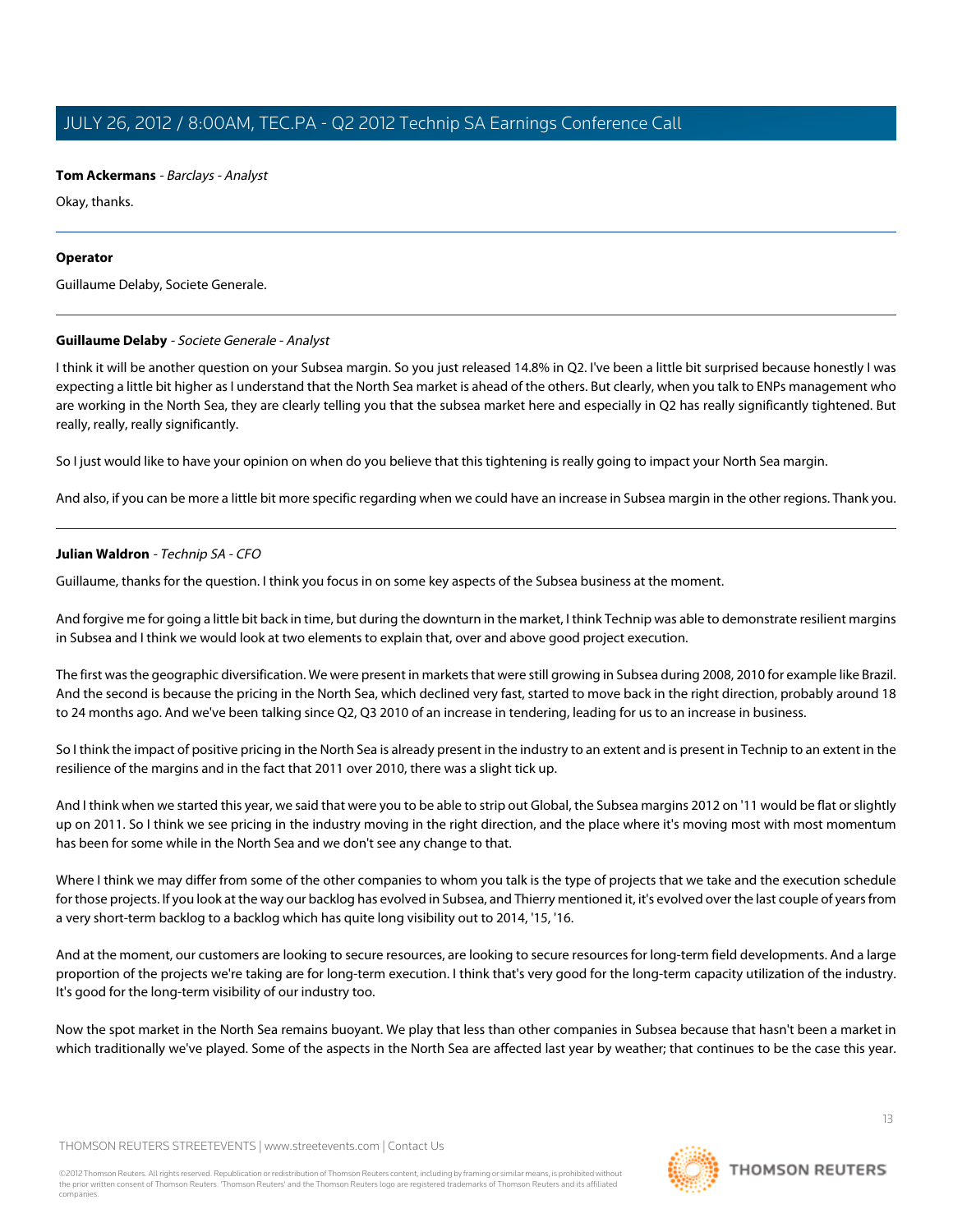# **Tom Ackermans** - Barclays - Analyst

Okay, thanks.

### **Operator**

<span id="page-12-0"></span>Guillaume Delaby, Societe Generale.

# **Guillaume Delaby** - Societe Generale - Analyst

I think it will be another question on your Subsea margin. So you just released 14.8% in Q2. I've been a little bit surprised because honestly I was expecting a little bit higher as I understand that the North Sea market is ahead of the others. But clearly, when you talk to ENPs management who are working in the North Sea, they are clearly telling you that the subsea market here and especially in Q2 has really significantly tightened. But really, really, really significantly.

So I just would like to have your opinion on when do you believe that this tightening is really going to impact your North Sea margin.

And also, if you can be more a little bit more specific regarding when we could have an increase in Subsea margin in the other regions. Thank you.

# **Julian Waldron** - Technip SA - CFO

Guillaume, thanks for the question. I think you focus in on some key aspects of the Subsea business at the moment.

And forgive me for going a little bit back in time, but during the downturn in the market, I think Technip was able to demonstrate resilient margins in Subsea and I think we would look at two elements to explain that, over and above good project execution.

The first was the geographic diversification. We were present in markets that were still growing in Subsea during 2008, 2010 for example like Brazil. And the second is because the pricing in the North Sea, which declined very fast, started to move back in the right direction, probably around 18 to 24 months ago. And we've been talking since Q2, Q3 2010 of an increase in tendering, leading for us to an increase in business.

So I think the impact of positive pricing in the North Sea is already present in the industry to an extent and is present in Technip to an extent in the resilience of the margins and in the fact that 2011 over 2010, there was a slight tick up.

And I think when we started this year, we said that were you to be able to strip out Global, the Subsea margins 2012 on '11 would be flat or slightly up on 2011. So I think we see pricing in the industry moving in the right direction, and the place where it's moving most with most momentum has been for some while in the North Sea and we don't see any change to that.

Where I think we may differ from some of the other companies to whom you talk is the type of projects that we take and the execution schedule for those projects. If you look at the way our backlog has evolved in Subsea, and Thierry mentioned it, it's evolved over the last couple of years from a very short-term backlog to a backlog which has quite long visibility out to 2014, '15, '16.

And at the moment, our customers are looking to secure resources, are looking to secure resources for long-term field developments. And a large proportion of the projects we're taking are for long-term execution. I think that's very good for the long-term capacity utilization of the industry. It's good for the long-term visibility of our industry too.

Now the spot market in the North Sea remains buoyant. We play that less than other companies in Subsea because that hasn't been a market in which traditionally we've played. Some of the aspects in the North Sea are affected last year by weather; that continues to be the case this year.

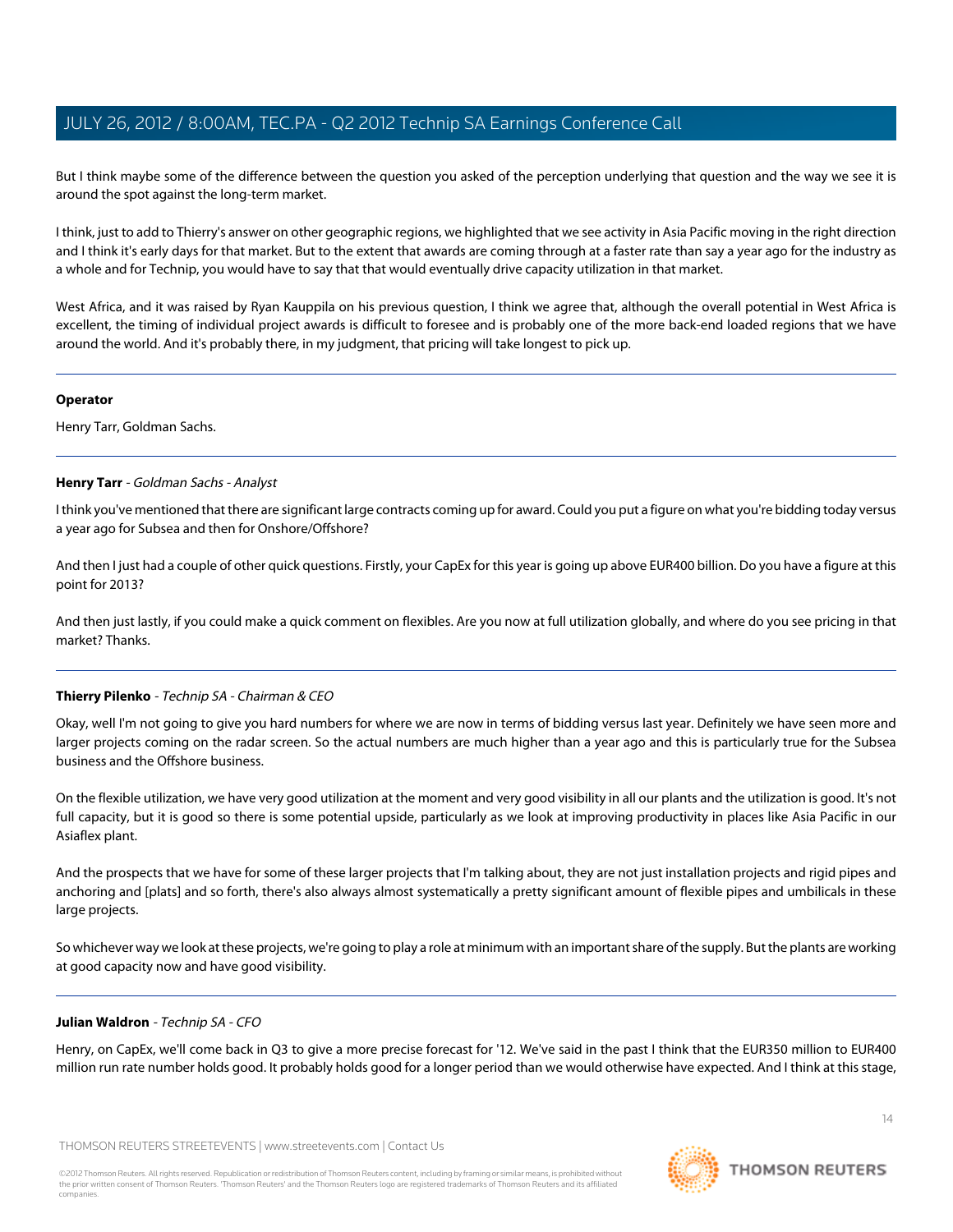But I think maybe some of the difference between the question you asked of the perception underlying that question and the way we see it is around the spot against the long-term market.

I think, just to add to Thierry's answer on other geographic regions, we highlighted that we see activity in Asia Pacific moving in the right direction and I think it's early days for that market. But to the extent that awards are coming through at a faster rate than say a year ago for the industry as a whole and for Technip, you would have to say that that would eventually drive capacity utilization in that market.

West Africa, and it was raised by Ryan Kauppila on his previous question, I think we agree that, although the overall potential in West Africa is excellent, the timing of individual project awards is difficult to foresee and is probably one of the more back-end loaded regions that we have around the world. And it's probably there, in my judgment, that pricing will take longest to pick up.

### **Operator**

<span id="page-13-0"></span>Henry Tarr, Goldman Sachs.

# **Henry Tarr** - Goldman Sachs - Analyst

I think you've mentioned that there are significant large contracts coming up for award. Could you put a figure on what you're bidding today versus a year ago for Subsea and then for Onshore/Offshore?

And then I just had a couple of other quick questions. Firstly, your CapEx for this year is going up above EUR400 billion. Do you have a figure at this point for 2013?

And then just lastly, if you could make a quick comment on flexibles. Are you now at full utilization globally, and where do you see pricing in that market? Thanks.

# **Thierry Pilenko** - Technip SA - Chairman & CEO

Okay, well I'm not going to give you hard numbers for where we are now in terms of bidding versus last year. Definitely we have seen more and larger projects coming on the radar screen. So the actual numbers are much higher than a year ago and this is particularly true for the Subsea business and the Offshore business.

On the flexible utilization, we have very good utilization at the moment and very good visibility in all our plants and the utilization is good. It's not full capacity, but it is good so there is some potential upside, particularly as we look at improving productivity in places like Asia Pacific in our Asiaflex plant.

And the prospects that we have for some of these larger projects that I'm talking about, they are not just installation projects and rigid pipes and anchoring and [plats] and so forth, there's also always almost systematically a pretty significant amount of flexible pipes and umbilicals in these large projects.

So whichever way we look at these projects, we're going to play a role at minimum with an important share of the supply. But the plants are working at good capacity now and have good visibility.

# **Julian Waldron** - Technip SA - CFO

Henry, on CapEx, we'll come back in Q3 to give a more precise forecast for '12. We've said in the past I think that the EUR350 million to EUR400 million run rate number holds good. It probably holds good for a longer period than we would otherwise have expected. And I think at this stage,

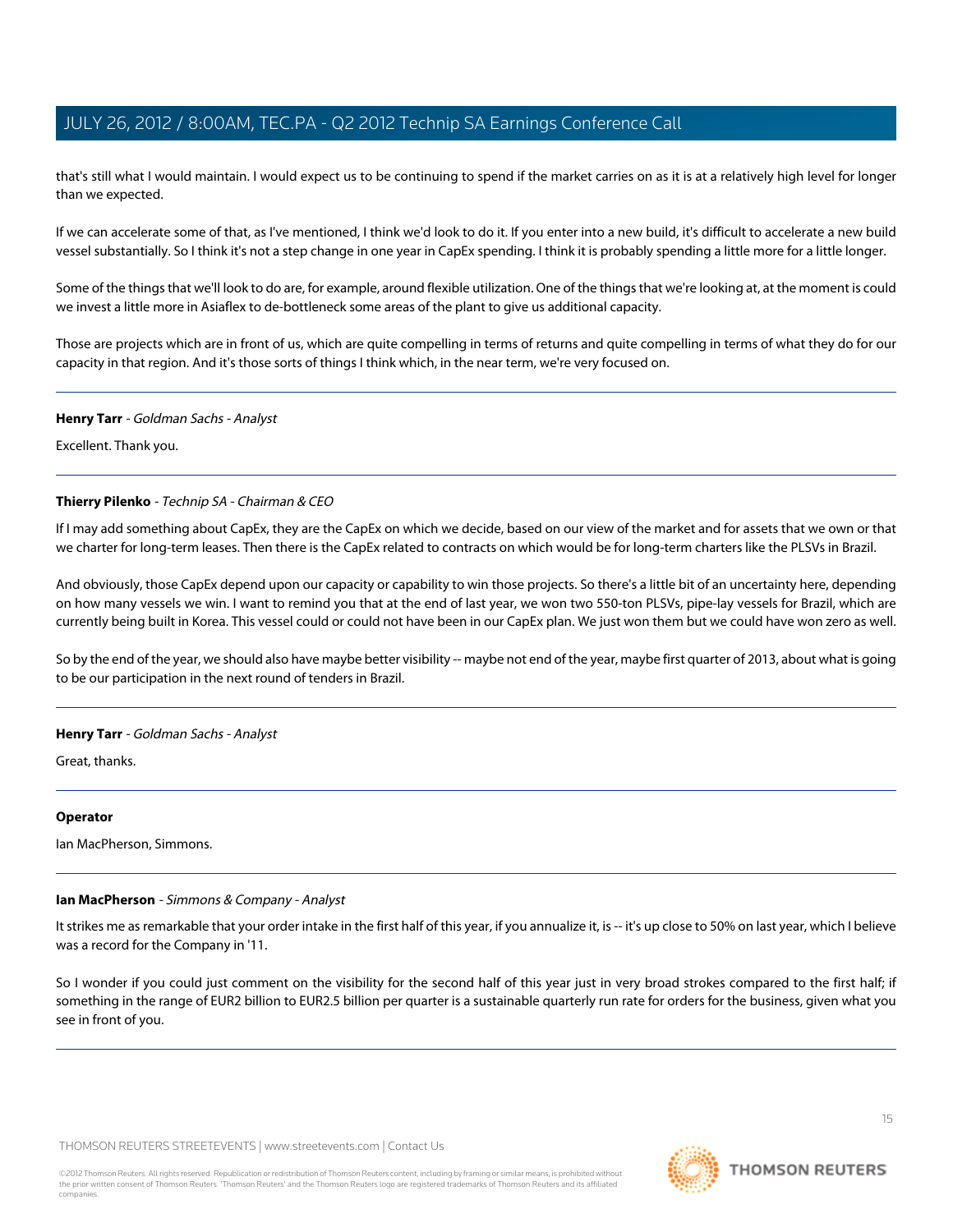that's still what I would maintain. I would expect us to be continuing to spend if the market carries on as it is at a relatively high level for longer than we expected.

If we can accelerate some of that, as I've mentioned, I think we'd look to do it. If you enter into a new build, it's difficult to accelerate a new build vessel substantially. So I think it's not a step change in one year in CapEx spending. I think it is probably spending a little more for a little longer.

Some of the things that we'll look to do are, for example, around flexible utilization. One of the things that we're looking at, at the moment is could we invest a little more in Asiaflex to de-bottleneck some areas of the plant to give us additional capacity.

Those are projects which are in front of us, which are quite compelling in terms of returns and quite compelling in terms of what they do for our capacity in that region. And it's those sorts of things I think which, in the near term, we're very focused on.

#### **Henry Tarr** - Goldman Sachs - Analyst

Excellent. Thank you.

#### **Thierry Pilenko** - Technip SA - Chairman & CEO

If I may add something about CapEx, they are the CapEx on which we decide, based on our view of the market and for assets that we own or that we charter for long-term leases. Then there is the CapEx related to contracts on which would be for long-term charters like the PLSVs in Brazil.

And obviously, those CapEx depend upon our capacity or capability to win those projects. So there's a little bit of an uncertainty here, depending on how many vessels we win. I want to remind you that at the end of last year, we won two 550-ton PLSVs, pipe-lay vessels for Brazil, which are currently being built in Korea. This vessel could or could not have been in our CapEx plan. We just won them but we could have won zero as well.

So by the end of the year, we should also have maybe better visibility -- maybe not end of the year, maybe first quarter of 2013, about what is going to be our participation in the next round of tenders in Brazil.

#### **Henry Tarr** - Goldman Sachs - Analyst

Great, thanks.

#### <span id="page-14-0"></span>**Operator**

Ian MacPherson, Simmons.

## **Ian MacPherson** - Simmons & Company - Analyst

It strikes me as remarkable that your order intake in the first half of this year, if you annualize it, is -- it's up close to 50% on last year, which I believe was a record for the Company in '11.

So I wonder if you could just comment on the visibility for the second half of this year just in very broad strokes compared to the first half; if something in the range of EUR2 billion to EUR2.5 billion per quarter is a sustainable quarterly run rate for orders for the business, given what you see in front of you.

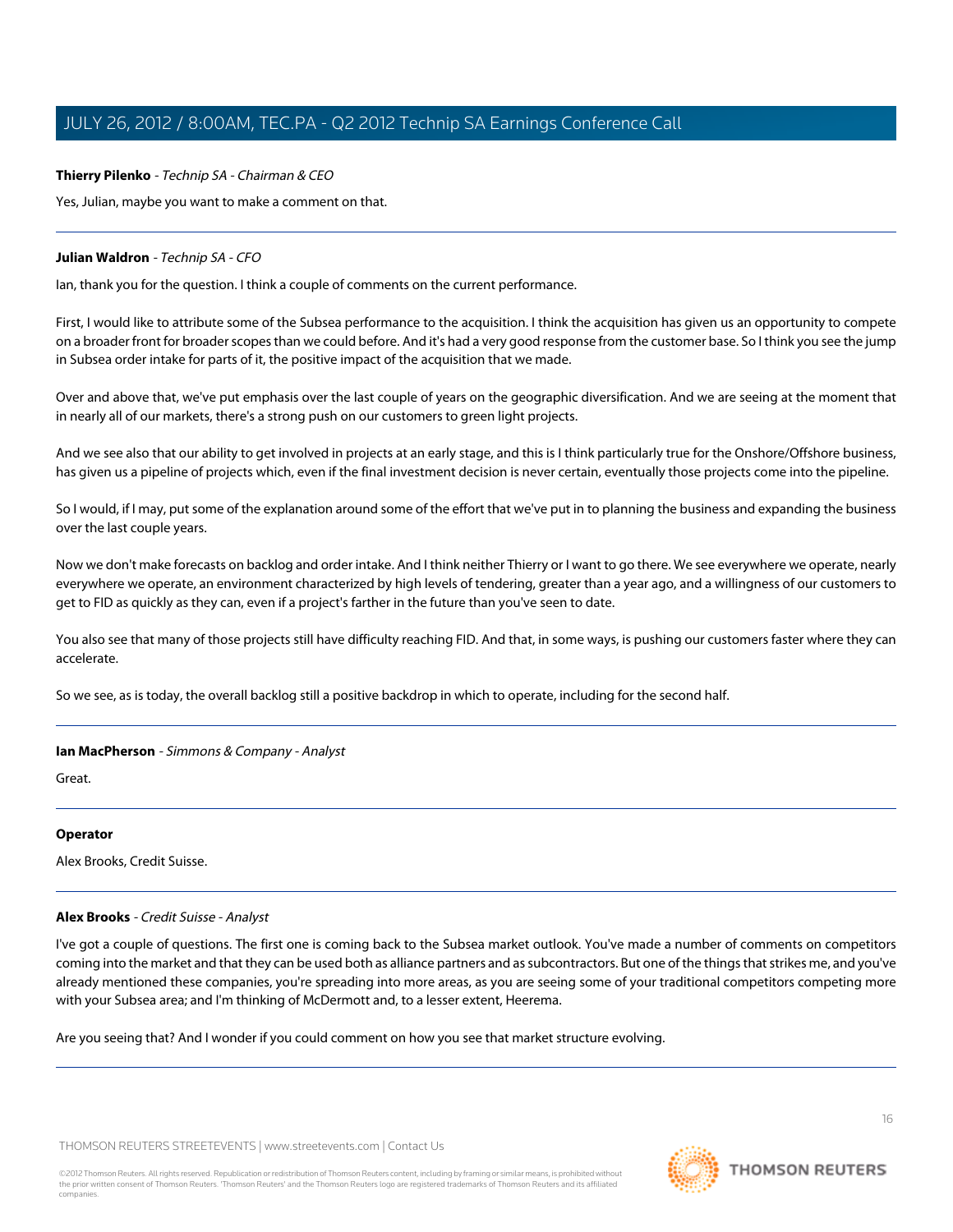# **Thierry Pilenko** - Technip SA - Chairman & CEO

Yes, Julian, maybe you want to make a comment on that.

# **Julian Waldron** - Technip SA - CFO

Ian, thank you for the question. I think a couple of comments on the current performance.

First, I would like to attribute some of the Subsea performance to the acquisition. I think the acquisition has given us an opportunity to compete on a broader front for broader scopes than we could before. And it's had a very good response from the customer base. So I think you see the jump in Subsea order intake for parts of it, the positive impact of the acquisition that we made.

Over and above that, we've put emphasis over the last couple of years on the geographic diversification. And we are seeing at the moment that in nearly all of our markets, there's a strong push on our customers to green light projects.

And we see also that our ability to get involved in projects at an early stage, and this is I think particularly true for the Onshore/Offshore business, has given us a pipeline of projects which, even if the final investment decision is never certain, eventually those projects come into the pipeline.

So I would, if I may, put some of the explanation around some of the effort that we've put in to planning the business and expanding the business over the last couple years.

Now we don't make forecasts on backlog and order intake. And I think neither Thierry or I want to go there. We see everywhere we operate, nearly everywhere we operate, an environment characterized by high levels of tendering, greater than a year ago, and a willingness of our customers to get to FID as quickly as they can, even if a project's farther in the future than you've seen to date.

You also see that many of those projects still have difficulty reaching FID. And that, in some ways, is pushing our customers faster where they can accelerate.

So we see, as is today, the overall backlog still a positive backdrop in which to operate, including for the second half.

# **Ian MacPherson** - Simmons & Company - Analyst

Great.

# <span id="page-15-0"></span>**Operator**

Alex Brooks, Credit Suisse.

# **Alex Brooks** - Credit Suisse - Analyst

I've got a couple of questions. The first one is coming back to the Subsea market outlook. You've made a number of comments on competitors coming into the market and that they can be used both as alliance partners and as subcontractors. But one of the things that strikes me, and you've already mentioned these companies, you're spreading into more areas, as you are seeing some of your traditional competitors competing more with your Subsea area; and I'm thinking of McDermott and, to a lesser extent, Heerema.

Are you seeing that? And I wonder if you could comment on how you see that market structure evolving.

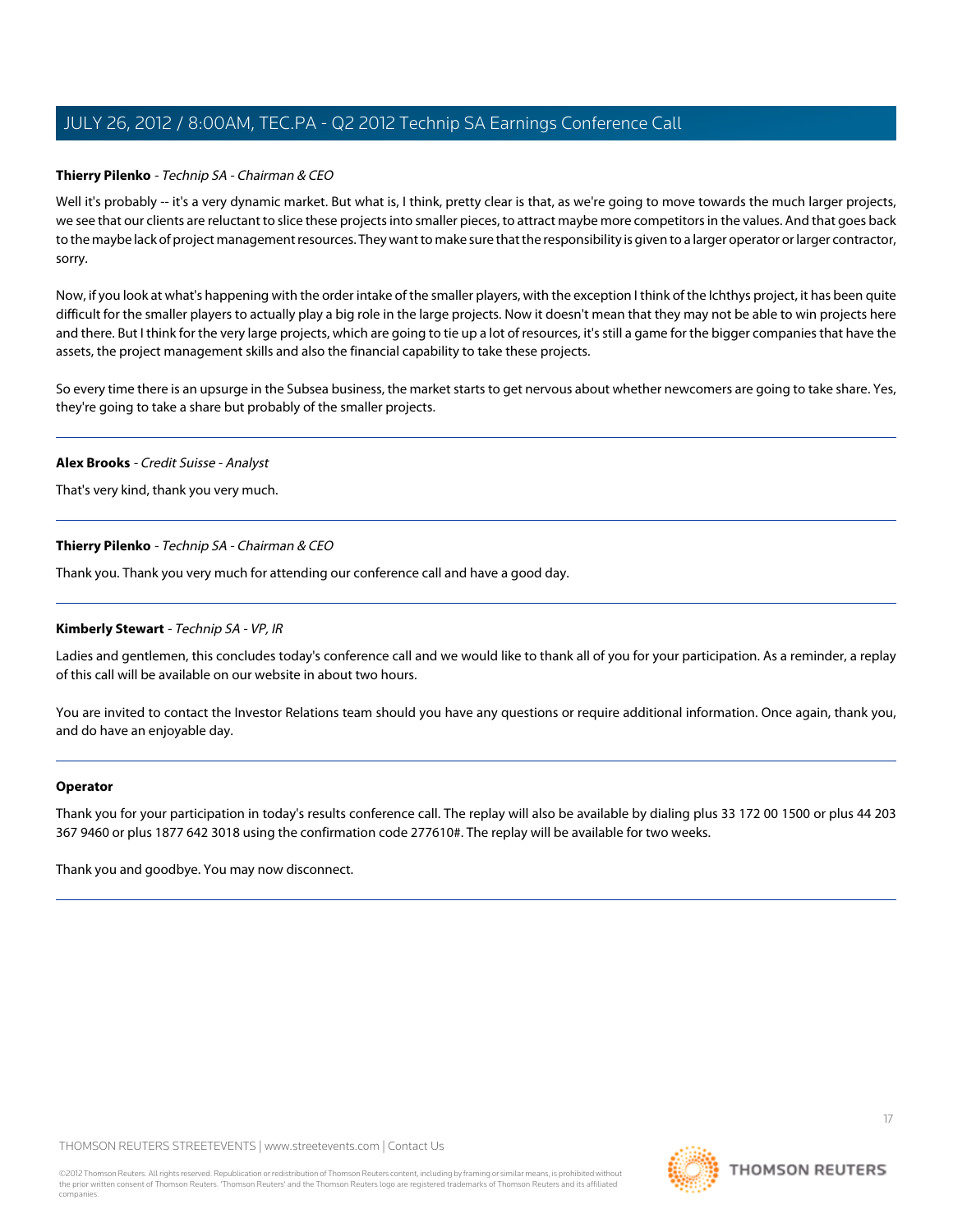### **Thierry Pilenko** - Technip SA - Chairman & CEO

Well it's probably -- it's a very dynamic market. But what is, I think, pretty clear is that, as we're going to move towards the much larger projects, we see that our clients are reluctant to slice these projects into smaller pieces, to attract maybe more competitors in the values. And that goes back to the maybe lack of project management resources. They want to make sure that the responsibility is given to a larger operator or larger contractor, sorry.

Now, if you look at what's happening with the order intake of the smaller players, with the exception I think of the Ichthys project, it has been quite difficult for the smaller players to actually play a big role in the large projects. Now it doesn't mean that they may not be able to win projects here and there. But I think for the very large projects, which are going to tie up a lot of resources, it's still a game for the bigger companies that have the assets, the project management skills and also the financial capability to take these projects.

So every time there is an upsurge in the Subsea business, the market starts to get nervous about whether newcomers are going to take share. Yes, they're going to take a share but probably of the smaller projects.

#### **Alex Brooks** - Credit Suisse - Analyst

That's very kind, thank you very much.

#### **Thierry Pilenko** - Technip SA - Chairman & CEO

Thank you. Thank you very much for attending our conference call and have a good day.

#### **Kimberly Stewart** - Technip SA - VP, IR

Ladies and gentlemen, this concludes today's conference call and we would like to thank all of you for your participation. As a reminder, a replay of this call will be available on our website in about two hours.

You are invited to contact the Investor Relations team should you have any questions or require additional information. Once again, thank you, and do have an enjoyable day.

#### **Operator**

Thank you for your participation in today's results conference call. The replay will also be available by dialing plus 33 172 00 1500 or plus 44 203 367 9460 or plus 1877 642 3018 using the confirmation code 277610#. The replay will be available for two weeks.

Thank you and goodbye. You may now disconnect.